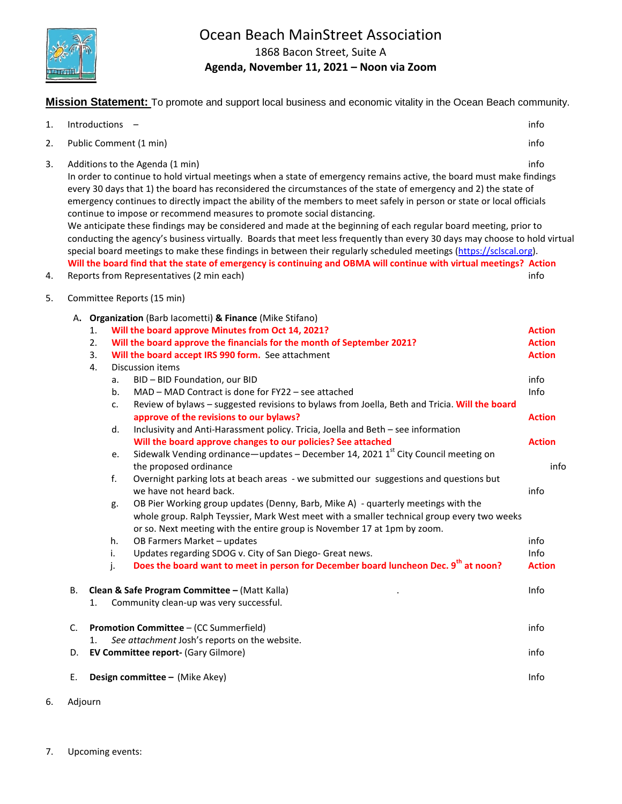

# Ocean Beach MainStreet Association

1868 Bacon Street, Suite A

**Agenda, November 11, 2021 – Noon via Zoom**

**Mission Statement:** To promote and support local business and economic vitality in the Ocean Beach community.

| 1.       |    | Introductions -                                                                                                                                                                                                                                                                                                                                                                                                                                                                                                                                                                                                                                                                                                                                                                                                                                                                                                                                                                                                                                                                                                                                                                                                                                                                                                                                                                                                                                              | info                                                                                                                                               |
|----------|----|--------------------------------------------------------------------------------------------------------------------------------------------------------------------------------------------------------------------------------------------------------------------------------------------------------------------------------------------------------------------------------------------------------------------------------------------------------------------------------------------------------------------------------------------------------------------------------------------------------------------------------------------------------------------------------------------------------------------------------------------------------------------------------------------------------------------------------------------------------------------------------------------------------------------------------------------------------------------------------------------------------------------------------------------------------------------------------------------------------------------------------------------------------------------------------------------------------------------------------------------------------------------------------------------------------------------------------------------------------------------------------------------------------------------------------------------------------------|----------------------------------------------------------------------------------------------------------------------------------------------------|
| 2.       |    | Public Comment (1 min)                                                                                                                                                                                                                                                                                                                                                                                                                                                                                                                                                                                                                                                                                                                                                                                                                                                                                                                                                                                                                                                                                                                                                                                                                                                                                                                                                                                                                                       | info                                                                                                                                               |
| 3.<br>4. |    | Additions to the Agenda (1 min)<br>In order to continue to hold virtual meetings when a state of emergency remains active, the board must make findings<br>every 30 days that 1) the board has reconsidered the circumstances of the state of emergency and 2) the state of<br>emergency continues to directly impact the ability of the members to meet safely in person or state or local officials<br>continue to impose or recommend measures to promote social distancing.<br>We anticipate these findings may be considered and made at the beginning of each regular board meeting, prior to<br>conducting the agency's business virtually. Boards that meet less frequently than every 30 days may choose to hold virtual<br>special board meetings to make these findings in between their regularly scheduled meetings (https://sclscal.org).<br>Will the board find that the state of emergency is continuing and OBMA will continue with virtual meetings? Action<br>Reports from Representatives (2 min each)                                                                                                                                                                                                                                                                                                                                                                                                                                   | info<br>info                                                                                                                                       |
| 5.       |    | Committee Reports (15 min)                                                                                                                                                                                                                                                                                                                                                                                                                                                                                                                                                                                                                                                                                                                                                                                                                                                                                                                                                                                                                                                                                                                                                                                                                                                                                                                                                                                                                                   |                                                                                                                                                    |
|          |    | A. Organization (Barb lacometti) & Finance (Mike Stifano)<br>Will the board approve Minutes from Oct 14, 2021?<br>1.<br>Will the board approve the financials for the month of September 2021?<br>2.<br>3.<br>Will the board accept IRS 990 form. See attachment<br>4.<br>Discussion items<br>BID - BID Foundation, our BID<br>a.<br>MAD - MAD Contract is done for FY22 - see attached<br>b.<br>Review of bylaws - suggested revisions to bylaws from Joella, Beth and Tricia. Will the board<br>c.<br>approve of the revisions to our bylaws?<br>Inclusivity and Anti-Harassment policy. Tricia, Joella and Beth - see information<br>d.<br>Will the board approve changes to our policies? See attached<br>Sidewalk Vending ordinance—updates - December 14, 2021 1 <sup>st</sup> City Council meeting on<br>е.<br>the proposed ordinance<br>f.<br>Overnight parking lots at beach areas - we submitted our suggestions and questions but<br>we have not heard back.<br>OB Pier Working group updates (Denny, Barb, Mike A) - quarterly meetings with the<br>g.<br>whole group. Ralph Teyssier, Mark West meet with a smaller technical group every two weeks<br>or so. Next meeting with the entire group is November 17 at 1pm by zoom.<br>OB Farmers Market - updates<br>h.<br>Updates regarding SDOG v. City of San Diego- Great news.<br>i.<br>Does the board want to meet in person for December board luncheon Dec. 9 <sup>th</sup> at noon?<br>j. | <b>Action</b><br><b>Action</b><br><b>Action</b><br>info<br>Info<br><b>Action</b><br><b>Action</b><br>info<br>info<br>info<br>Info<br><b>Action</b> |
|          | В. | Clean & Safe Program Committee - (Matt Kalla)<br>Community clean-up was very successful.<br>1.                                                                                                                                                                                                                                                                                                                                                                                                                                                                                                                                                                                                                                                                                                                                                                                                                                                                                                                                                                                                                                                                                                                                                                                                                                                                                                                                                               | Info                                                                                                                                               |
|          | C. | <b>Promotion Committee - (CC Summerfield)</b><br>See attachment Josh's reports on the website.<br>1.                                                                                                                                                                                                                                                                                                                                                                                                                                                                                                                                                                                                                                                                                                                                                                                                                                                                                                                                                                                                                                                                                                                                                                                                                                                                                                                                                         | info                                                                                                                                               |
|          | D. | EV Committee report- (Gary Gilmore)                                                                                                                                                                                                                                                                                                                                                                                                                                                                                                                                                                                                                                                                                                                                                                                                                                                                                                                                                                                                                                                                                                                                                                                                                                                                                                                                                                                                                          | info                                                                                                                                               |
|          | Е. | Design committee - (Mike Akey)                                                                                                                                                                                                                                                                                                                                                                                                                                                                                                                                                                                                                                                                                                                                                                                                                                                                                                                                                                                                                                                                                                                                                                                                                                                                                                                                                                                                                               | Info                                                                                                                                               |

6. Adjourn